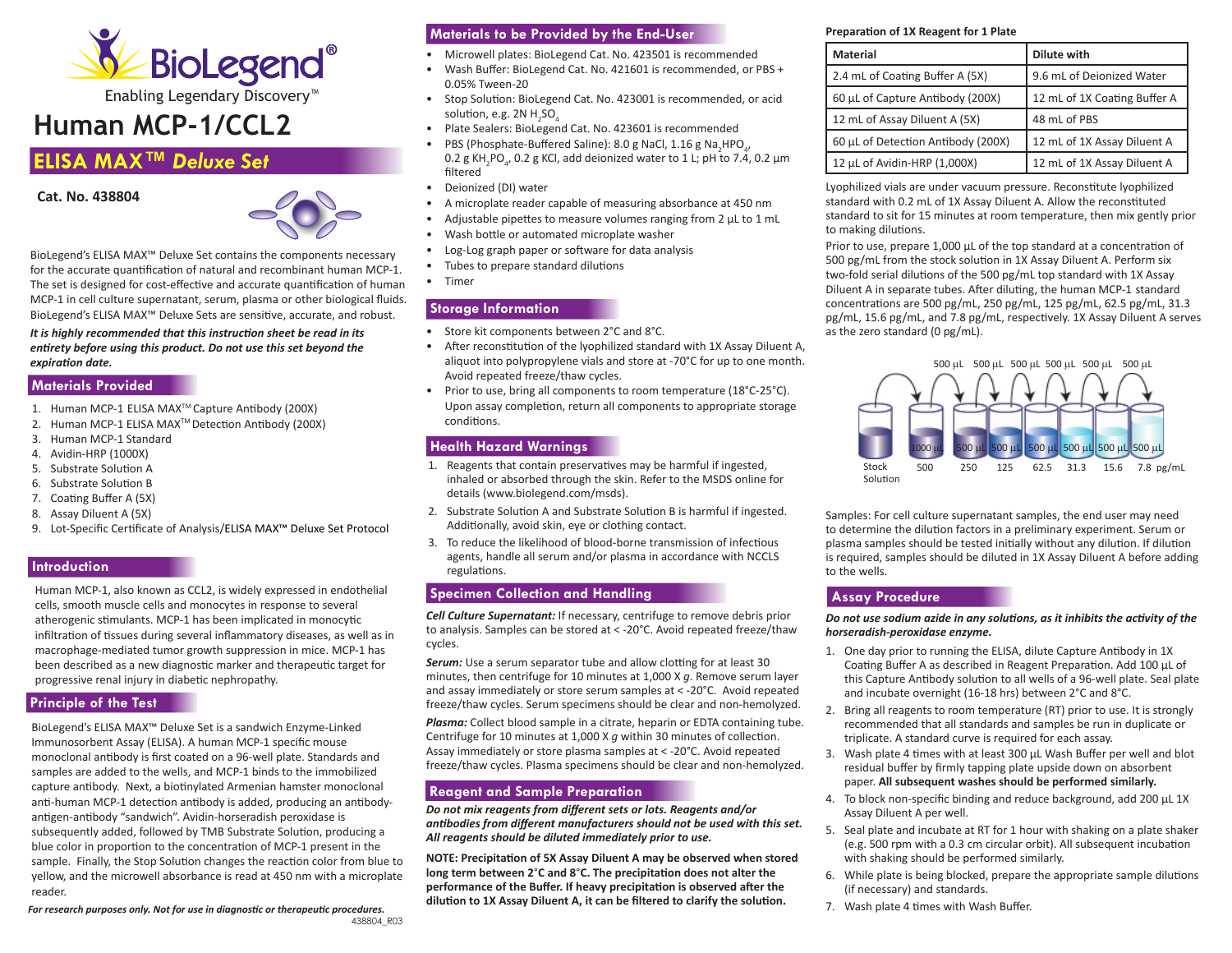

Enabling Legendary Discovery™

# **Human MCP-1/CCL2**

# **ELISA MAX™** *Deluxe Set*

**Cat. No. 438804** 



BioLegend's ELISA MAX™ Deluxe Set contains the components necessary for the accurate quantification of natural and recombinant human MCP-1. The set is designed for cost-effective and accurate quantification of human MCP-1 in cell culture supernatant, serum, plasma or other biological fluids. BioLegend's ELISA MAX™ Deluxe Sets are sensitive, accurate, and robust.

*It is highly recommended that this instruction sheet be read in its entirety before using this product. Do not use this set beyond the expiration date.*

## **Materials Provided**

- 1. Human MCP-1 ELISA MAXTM Capture Antibody (200X)
- 2. Human MCP-1 ELISA MAXTM Detection Antibody (200X)
- 3. Human MCP-1 Standard
- 4. Avidin-HRP (1000X)
- 5. Substrate Solution A
- 6. Substrate Solution B
- 7. Coating Buffer A (5X)
- 8. Assay Diluent A (5X)
- 9. Lot-Specific Certificate of Analysis/ELISA MAX™ Deluxe Set Protocol

# **Introduction**

Human MCP-1, also known as CCL2, is widely expressed in endothelial cells, smooth muscle cells and monocytes in response to several atherogenic stimulants. MCP-1 has been implicated in monocytic infiltration of tissues during several inflammatory diseases, as well as in macrophage-mediated tumor growth suppression in mice. MCP-1 has been described as a new diagnostic marker and therapeutic target for progressive renal injury in diabetic nephropathy.

## **Principle of the Test**

BioLegend's ELISA MAX™ Deluxe Set is a sandwich Enzyme-Linked Immunosorbent Assay (ELISA). A human MCP-1 specific mouse monoclonal antibody is first coated on a 96-well plate. Standards and samples are added to the wells, and MCP-1 binds to the immobilized capture antibody. Next, a biotinylated Armenian hamster monoclonal anti-human MCP-1 detection antibody is added, producing an antibodyantigen-antibody "sandwich". Avidin-horseradish peroxidase is subsequently added, followed by TMB Substrate Solution, producing a blue color in proportion to the concentration of MCP-1 present in the sample. Finally, the Stop Solution changes the reaction color from blue to yellow, and the microwell absorbance is read at 450 nm with a microplate reader.

*For research purposes only. Not for use in diagnostic or therapeutic procedures.* 438804\_R03

# **Materials to be Provided by the End-User**

- Microwell plates: BioLegend Cat. No. 423501 is recommended
- Wash Buffer: BioLegend Cat. No. 421601 is recommended, or PBS + 0.05% Tween-20
- Stop Solution: BioLegend Cat. No. 423001 is recommended, or acid solution, e.g. 2N  $H_{2}SO_{4}$
- Plate Sealers: BioLegend Cat. No. 423601 is recommended
- PBS (Phosphate-Buffered Saline): 8.0 g NaCl, 1.16 g Na<sub>2</sub>HPO<sub>4</sub>, 0.2 g KH<sub>2</sub>PO<sub>4</sub>, 0.2 g KCl, add deionized water to 1 L; pH to 7.4, 0.2 μm filtered
- Deionized (DI) water
- A microplate reader capable of measuring absorbance at 450 nm
- Adjustable pipettes to measure volumes ranging from 2 μL to 1 mL
- Wash bottle or automated microplate washer
- Log-Log graph paper or software for data analysis
- Tubes to prepare standard dilutions
- Timer

# **Storage Information**

- Store kit components between 2°C and 8°C.
- After reconstitution of the lyophilized standard with 1X Assay Diluent A, aliquot into polypropylene vials and store at -70°C for up to one month. Avoid repeated freeze/thaw cycles.
- Prior to use, bring all components to room temperature (18°C-25°C). Upon assay completion, return all components to appropriate storage conditions.

# **Health Hazard Warnings**

- 1. Reagents that contain preservatives may be harmful if ingested, inhaled or absorbed through the skin. Refer to the MSDS online for details (www.biolegend.com/msds).
- 2. Substrate Solution A and Substrate Solution B is harmful if ingested. Additionally, avoid skin, eye or clothing contact.
- 3. To reduce the likelihood of blood-borne transmission of infectious agents, handle all serum and/or plasma in accordance with NCCLS regulations.

# **Specimen Collection and Handling**

*Cell Culture Supernatant:* If necessary, centrifuge to remove debris prior to analysis. Samples can be stored at < -20°C. Avoid repeated freeze/thaw cycles.

**Serum:** Use a serum separator tube and allow clotting for at least 30 minutes, then centrifuge for 10 minutes at 1,000 X *g*. Remove serum layer and assay immediately or store serum samples at < -20°C. Avoid repeated freeze/thaw cycles. Serum specimens should be clear and non-hemolyzed.

*Plasma:* Collect blood sample in a citrate, heparin or EDTA containing tube. Centrifuge for 10 minutes at 1,000 X *g* within 30 minutes of collection. Assay immediately or store plasma samples at < -20°C. Avoid repeated freeze/thaw cycles. Plasma specimens should be clear and non-hemolyzed.

# **Reagent and Sample Preparation**

*Do not mix reagents from different sets or lots. Reagents and/or antibodies from different manufacturers should not be used with this set. All reagents should be diluted immediately prior to use.*

**NOTE: Precipitation of 5X Assay Diluent A may be observed when stored long term between 2**°**C and 8**°**C. The precipitation does not alter the performance of the Buffer. If heavy precipitation is observed after the dilution to 1X Assay Diluent A, it can be filtered to clarify the solution.**

#### **Preparation of 1X Reagent for 1 Plate**

| <b>Material</b>                    | Dilute with                  |
|------------------------------------|------------------------------|
| 2.4 mL of Coating Buffer A (5X)    | 9.6 mL of Deionized Water    |
| 60 µL of Capture Antibody (200X)   | 12 mL of 1X Coating Buffer A |
| 12 mL of Assay Diluent A (5X)      | 48 mL of PBS                 |
| 60 µL of Detection Antibody (200X) | 12 mL of 1X Assay Diluent A  |
| 12 µL of Avidin-HRP (1,000X)       | 12 mL of 1X Assay Diluent A  |

Lyophilized vials are under vacuum pressure. Reconstitute lyophilized standard with 0.2 mL of 1X Assay Diluent A. Allow the reconstituted standard to sit for 15 minutes at room temperature, then mix gently prior to making dilutions.

Prior to use, prepare 1,000 μL of the top standard at a concentration of 500 pg/mL from the stock solution in 1X Assay Diluent A. Perform six two-fold serial dilutions of the 500 pg/mL top standard with 1X Assay Diluent A in separate tubes. After diluting, the human MCP-1 standard concentrations are 500 pg/mL, 250 pg/mL, 125 pg/mL, 62.5 pg/mL, 31.3 pg/mL, 15.6 pg/mL, and 7.8 pg/mL, respectively. 1X Assay Diluent A serves as the zero standard (0 pg/mL).



Samples: For cell culture supernatant samples, the end user may need to determine the dilution factors in a preliminary experiment. Serum or plasma samples should be tested initially without any dilution. If dilution is required, samples should be diluted in 1X Assay Diluent A before adding to the wells.

# **Assay Procedure**

*Do not use sodium azide in any solutions, as it inhibits the activity of the horseradish-peroxidase enzyme.* 

- 1. One day prior to running the ELISA, dilute Capture Antibody in 1X Coating Buffer A as described in Reagent Preparation. Add 100 μL of this Capture Antibody solution to all wells of a 96-well plate. Seal plate and incubate overnight (16-18 hrs) between 2°C and 8°C.
- 2. Bring all reagents to room temperature (RT) prior to use. It is strongly recommended that all standards and samples be run in duplicate or triplicate. A standard curve is required for each assay.
- 3. Wash plate 4 times with at least 300 μL Wash Buffer per well and blot residual buffer by firmly tapping plate upside down on absorbent paper. **All subsequent washes should be performed similarly.**
- 4. To block non-specific binding and reduce background, add 200 μL 1X Assay Diluent A per well.
- 5. Seal plate and incubate at RT for 1 hour with shaking on a plate shaker (e.g. 500 rpm with a 0.3 cm circular orbit). All subsequent incubation with shaking should be performed similarly.
- 6. While plate is being blocked, prepare the appropriate sample dilutions (if necessary) and standards.
- 7. Wash plate 4 times with Wash Buffer.